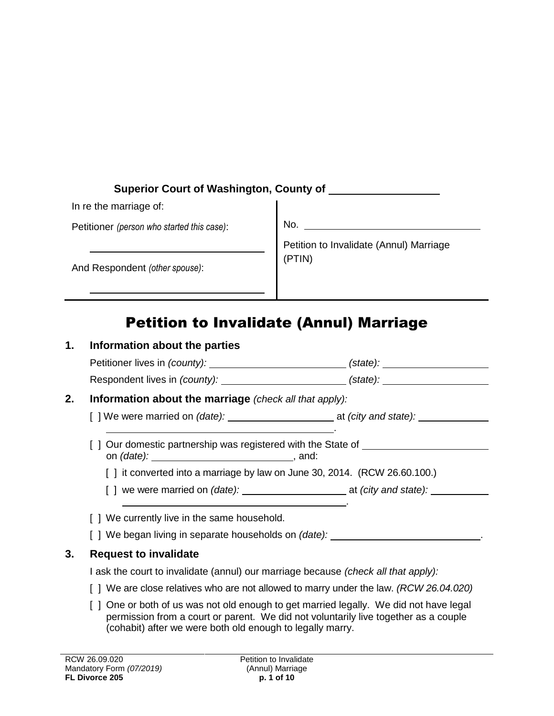| <b>Superior Court of Washington, County of</b> |                                         |
|------------------------------------------------|-----------------------------------------|
| In re the marriage of:                         |                                         |
| Petitioner (person who started this case):     | No.                                     |
|                                                | Petition to Invalidate (Annul) Marriage |
| And Respondent (other spouse):                 | (PTIN)                                  |

# Petition to Invalidate (Annul) Marriage

| 1. | Information about the parties                                                                                                                                                                              |  |  |
|----|------------------------------------------------------------------------------------------------------------------------------------------------------------------------------------------------------------|--|--|
|    | Petitioner lives in (county): _______________________________(state): ______________________________                                                                                                       |  |  |
|    | Respondent lives in (county): __________________________(state): _______________                                                                                                                           |  |  |
| 2. | <b>Information about the marriage</b> (check all that apply):                                                                                                                                              |  |  |
|    | [] We were married on (date): ______________________________at (city and state): __________________<br>the contract of the contract of the contract of the contract of the contract of the contract of the |  |  |
|    | ] Our domestic partnership was registered with the State of ____________________                                                                                                                           |  |  |
|    | [ ] it converted into a marriage by law on June 30, 2014. (RCW 26.60.100.)                                                                                                                                 |  |  |
|    | [ ] we were married on (date): ____________________________ at (city and state): __________________                                                                                                        |  |  |
|    | [ ] We currently live in the same household.                                                                                                                                                               |  |  |
|    | [ ] We began living in separate households on <i>(date):</i> _________________________                                                                                                                     |  |  |
| 3. | <b>Request to invalidate</b>                                                                                                                                                                               |  |  |
|    | I ask the court to invalidate (annul) our marriage because <i>(check all that apply):</i>                                                                                                                  |  |  |
|    | [ ] We are close relatives who are not allowed to marry under the law. (RCW 26.04.020)                                                                                                                     |  |  |
|    | [ ] One or both of us was not old enough to get married legally. We did not have legal<br>permission from a court or parent. We did not voluntarily live together as a couple                              |  |  |

(cohabit) after we were both old enough to legally marry.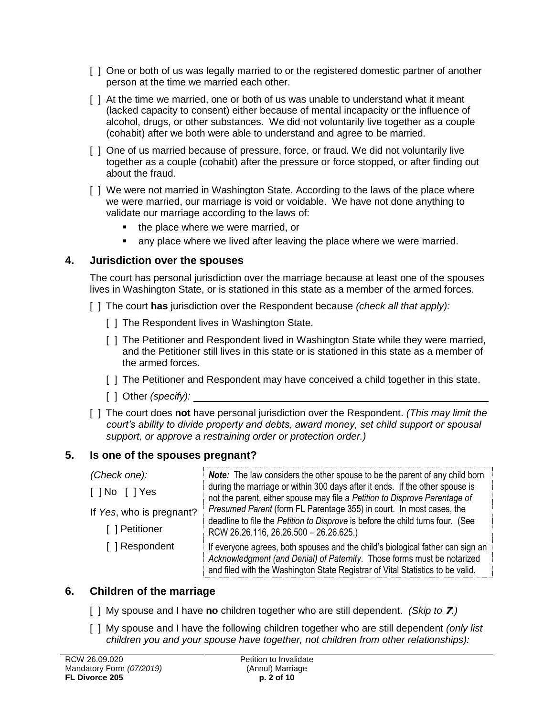- [ ] One or both of us was legally married to or the registered domestic partner of another person at the time we married each other.
- [ ] At the time we married, one or both of us was unable to understand what it meant (lacked capacity to consent) either because of mental incapacity or the influence of alcohol, drugs, or other substances. We did not voluntarily live together as a couple (cohabit) after we both were able to understand and agree to be married.
- [ ] One of us married because of pressure, force, or fraud. We did not voluntarily live together as a couple (cohabit) after the pressure or force stopped, or after finding out about the fraud.
- [ ] We were not married in Washington State. According to the laws of the place where we were married, our marriage is void or voidable. We have not done anything to validate our marriage according to the laws of:
	- the place where we were married, or
	- any place where we lived after leaving the place where we were married.

#### **4. Jurisdiction over the spouses**

The court has personal jurisdiction over the marriage because at least one of the spouses lives in Washington State, or is stationed in this state as a member of the armed forces.

- [ ] The court **has** jurisdiction over the Respondent because *(check all that apply):*
	- [ ] The Respondent lives in Washington State.
	- [ ] The Petitioner and Respondent lived in Washington State while they were married, and the Petitioner still lives in this state or is stationed in this state as a member of the armed forces.
	- [ ] The Petitioner and Respondent may have conceived a child together in this state.
	- [ ] Other *(specify):*
- [ ] The court does **not** have personal jurisdiction over the Respondent. *(This may limit the court's ability to divide property and debts, award money, set child support or spousal support, or approve a restraining order or protection order.)*

#### **5. Is one of the spouses pregnant?**

| (Check one):             | <b>Note:</b> The law considers the other spouse to be the parent of any child born                                                                                                                                                          |  |
|--------------------------|---------------------------------------------------------------------------------------------------------------------------------------------------------------------------------------------------------------------------------------------|--|
| [ ] No [ ] Yes           | during the marriage or within 300 days after it ends. If the other spouse is<br>not the parent, either spouse may file a Petition to Disprove Parentage of                                                                                  |  |
| If Yes, who is pregnant? | Presumed Parent (form FL Parentage 355) in court. In most cases, the<br>deadline to file the Petition to Disprove is before the child turns four. (See                                                                                      |  |
| [ ] Petitioner           | RCW 26.26.116, 26.26.500 - 26.26.625.)                                                                                                                                                                                                      |  |
| [ ] Respondent           | If everyone agrees, both spouses and the child's biological father can sign an<br>Acknowledgment (and Denial) of Paternity. Those forms must be notarized<br>and filed with the Washington State Registrar of Vital Statistics to be valid. |  |

## **6. Children of the marriage**

- [ ] My spouse and I have **no** children together who are still dependent. *(Skip to* 7*.)*
- [ ] My spouse and I have the following children together who are still dependent *(only list children you and your spouse have together, not children from other relationships):*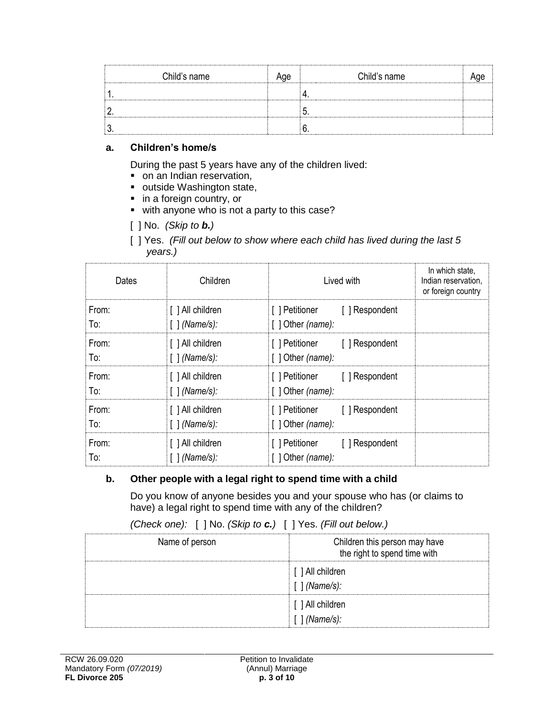| Child's name | <br>Child's name |  |
|--------------|------------------|--|
|              |                  |  |
|              |                  |  |
|              |                  |  |

#### **a. Children's home/s**

During the past 5 years have any of the children lived:

- on an Indian reservation,
- outside Washington state,
- in a foreign country, or
- with anyone who is not a party to this case?
- [ ] No. *(Skip to b.)*
- [ ] Yes. *(Fill out below to show where each child has lived during the last 5 years.)*

| Dates        | Children                                            | Lived with                                                   | In which state,<br>Indian reservation,<br>or foreign country |
|--------------|-----------------------------------------------------|--------------------------------------------------------------|--------------------------------------------------------------|
| From:        | [ ] All children                                    | [] Petitioner [] Respondent                                  |                                                              |
| To:          | $\lceil \cdot \rceil$ (Name/s):                     | $[$ ] Other (name):                                          |                                                              |
| From:        | [ ] All children                                    | [] Petitioner [] Respondent                                  |                                                              |
| To:          | $\lceil \cdot \rceil$ (Name/s):                     | $[$ ] Other (name):                                          |                                                              |
| From:        | [ ] All children                                    | [] Petitioner [] Respondent                                  |                                                              |
| To:          | [ ] (Name/s):                                       | $[$ ] Other (name):                                          |                                                              |
| From:        | [ ] All children                                    | [] Petitioner [] Respondent                                  |                                                              |
| To:          | $\lceil \cdot \rceil$ (Name/s):                     | $\lceil$   Other (name):                                     |                                                              |
| From:<br>To: | [ ] All children<br>$\lceil \cdot \rceil$ (Name/s): | [ ] Petitioner<br>[ ] Respondent<br>$\lceil$   Other (name): |                                                              |

#### **b. Other people with a legal right to spend time with a child**

Do you know of anyone besides you and your spouse who has (or claims to have) a legal right to spend time with any of the children?

*(Check one):* [ ] No. *(Skip to c.)* [ ] Yes. *(Fill out below.)*

| Name of person | Children this person may have<br>the right to spend time with |  |
|----------------|---------------------------------------------------------------|--|
|                | [ ] All children<br>[ ] (Name/s):                             |  |
|                | [ ] All children<br>[ ] (Name/s):                             |  |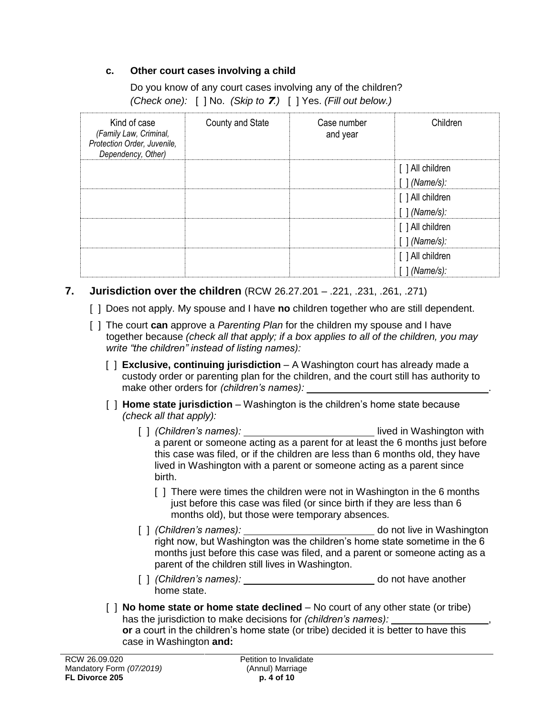#### **c. Other court cases involving a child**

|  | Do you know of any court cases involving any of the children?        |
|--|----------------------------------------------------------------------|
|  | (Check one): [ ] No. (Skip to <b>7</b> .) [ ] Yes. (Fill out below.) |

| Kind of case<br>(Family Law, Criminal,<br>Protection Order, Juvenile,<br>Dependency, Other) | County and State | Case number<br>and year | Children         |
|---------------------------------------------------------------------------------------------|------------------|-------------------------|------------------|
|                                                                                             |                  |                         | [ ] All children |
|                                                                                             |                  |                         | [ ] (Name/s):    |
|                                                                                             |                  |                         | [ ] All children |
|                                                                                             |                  |                         | [ ] (Name/s):    |
|                                                                                             |                  |                         | [ ] All children |
|                                                                                             |                  |                         | [ ] (Name/s):    |
|                                                                                             |                  |                         | [ ] All children |
|                                                                                             |                  |                         | [ ] (Name/s):    |

#### **7. Jurisdiction over the children** (RCW 26.27.201 – .221, .231, .261, .271)

- [ ] Does not apply. My spouse and I have **no** children together who are still dependent.
- [ ] The court **can** approve a *Parenting Plan* for the children my spouse and I have together because *(check all that apply; if a box applies to all of the children, you may write "the children" instead of listing names):*
	- [ ] **Exclusive, continuing jurisdiction**  A Washington court has already made a custody order or parenting plan for the children, and the court still has authority to make other orders for *(children's names):* .
	- [ ] **Home state jurisdiction** Washington is the children's home state because *(check all that apply):* 
		- [ ] *(Children's names):* lived in Washington with a parent or someone acting as a parent for at least the 6 months just before this case was filed, or if the children are less than 6 months old, they have lived in Washington with a parent or someone acting as a parent since birth.
			- [] There were times the children were not in Washington in the 6 months just before this case was filed (or since birth if they are less than 6 months old), but those were temporary absences.
		- [ ] *(Children's names):* \_\_\_\_\_\_\_\_\_\_\_\_\_\_\_\_\_\_\_\_\_\_\_\_\_\_ do not live in Washington right now, but Washington was the children's home state sometime in the 6 months just before this case was filed, and a parent or someone acting as a parent of the children still lives in Washington.
		- [ ] *(Children's names):* do not have another home state.
	- [ ] **No home state or home state declined** No court of any other state (or tribe) has the jurisdiction to make decisions for *(children's names):* **or** a court in the children's home state (or tribe) decided it is better to have this case in Washington **and:**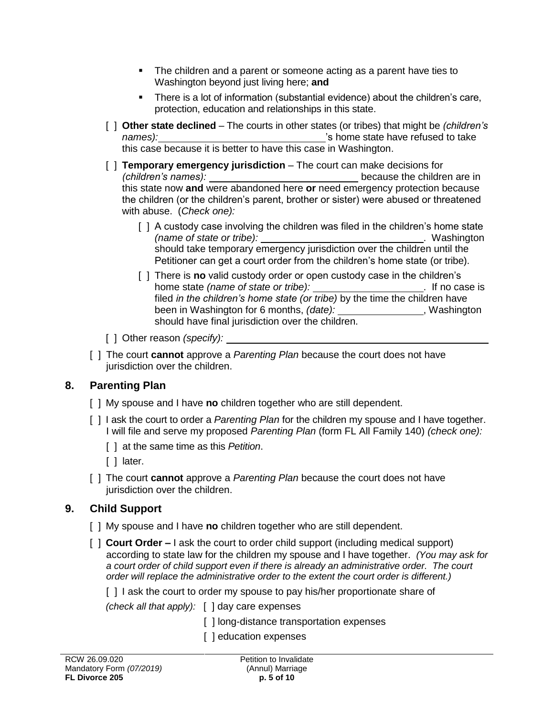- The children and a parent or someone acting as a parent have ties to Washington beyond just living here; **and**
- There is a lot of information (substantial evidence) about the children's care, protection, education and relationships in this state.
- [ ] **Other state declined** The courts in other states (or tribes) that might be *(children's names):* 's home state have refused to take this case because it is better to have this case in Washington.
- [ ] **Temporary emergency jurisdiction**  The court can make decisions for *(children's names):* <u>children</u> because the children are in this state now **and** were abandoned here **or** need emergency protection because the children (or the children's parent, brother or sister) were abused or threatened with abuse. (*Check one):*
	- [ ] A custody case involving the children was filed in the children's home state *(name of state or tribe):* . Washington should take temporary emergency jurisdiction over the children until the Petitioner can get a court order from the children's home state (or tribe).
	- [ ] There is **no** valid custody order or open custody case in the children's home state *(name of state or tribe):* . If no case is filed *in the children's home state (or tribe)* by the time the children have been in Washington for 6 months, (date): **with the contract of Washington** should have final jurisdiction over the children.
- [ ] Other reason *(specify):*
- [ ] The court **cannot** approve a *Parenting Plan* because the court does not have jurisdiction over the children.

# **8. Parenting Plan**

- [ ] My spouse and I have **no** children together who are still dependent.
- [ ] I ask the court to order a *Parenting Plan* for the children my spouse and I have together. I will file and serve my proposed *Parenting Plan* (form FL All Family 140) *(check one):*
	- [ ] at the same time as this *Petition*.
	- [ ] later.
- [ ] The court **cannot** approve a *Parenting Plan* because the court does not have jurisdiction over the children.

# **9. Child Support**

- [ ] My spouse and I have **no** children together who are still dependent.
- [ ] **Court Order –** I ask the court to order child support (including medical support) according to state law for the children my spouse and I have together. *(You may ask for a court order of child support even if there is already an administrative order. The court order will replace the administrative order to the extent the court order is different.)*

[] I ask the court to order my spouse to pay his/her proportionate share of

*(check all that apply):* [ ] day care expenses

[] long-distance transportation expenses

[ ] education expenses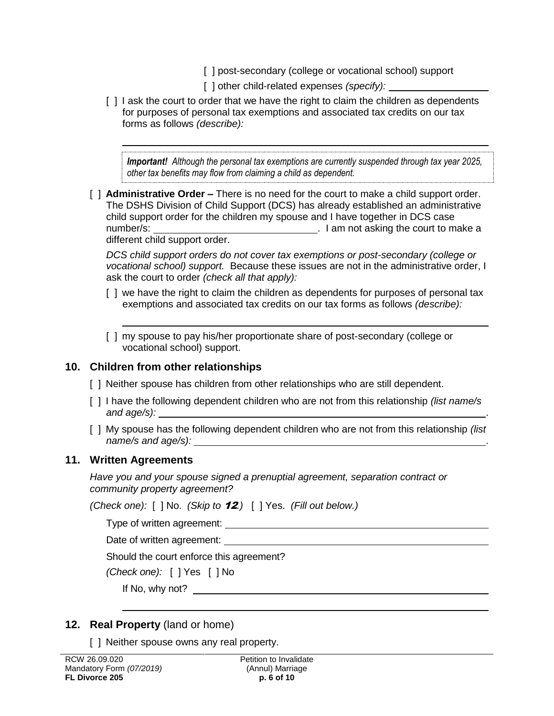- [] post-secondary (college or vocational school) support
- [ ] other child-related expenses *(specify):*
- [ ] I ask the court to order that we have the right to claim the children as dependents for purposes of personal tax exemptions and associated tax credits on our tax forms as follows *(describe):*

*Important! Although the personal tax exemptions are currently suspended through tax year 2025, other tax benefits may flow from claiming a child as dependent.*

[ ] **Administrative Order –** There is no need for the court to make a child support order. The DSHS Division of Child Support (DCS) has already established an administrative child support order for the children my spouse and I have together in DCS case number/s: . I am not asking the court to make a different child support order.

*DCS child support orders do not cover tax exemptions or post-secondary (college or vocational school) support.* Because these issues are not in the administrative order, I ask the court to order *(check all that apply):*

- [ ] we have the right to claim the children as dependents for purposes of personal tax exemptions and associated tax credits on our tax forms as follows *(describe):*
- [ ] my spouse to pay his/her proportionate share of post-secondary (college or vocational school) support.

## **10. Children from other relationships**

- [ ] Neither spouse has children from other relationships who are still dependent.
- [ ] I have the following dependent children who are not from this relationship *(list name/s and age/s):* .
- [ ] My spouse has the following dependent children who are not from this relationship *(list name/s and age/s):*

## **11. Written Agreements**

*Have you and your spouse signed a prenuptial agreement, separation contract or community property agreement?*

*(Check one):* [ ] No. *(Skip to* 12*.)* [ ] Yes. *(Fill out below.)*

Type of written agreement:

Date of written agreement:

Should the court enforce this agreement?

*(Check one):* [ ] Yes [ ] No

If No, why not?

# **12. Real Property** (land or home)

[ ] Neither spouse owns any real property.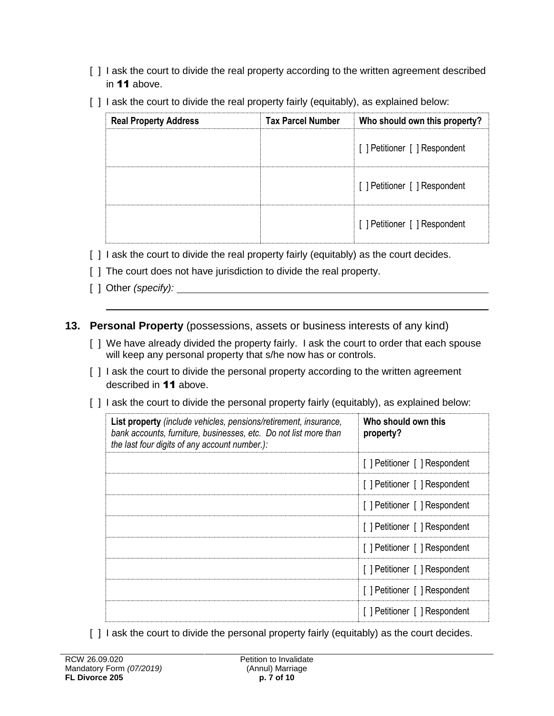- [ ] I ask the court to divide the real property according to the written agreement described in 11 above.
- [ ] I ask the court to divide the real property fairly (equitably), as explained below:

| <b>Real Property Address</b> | <b>Tax Parcel Number</b> | Who should own this property? |
|------------------------------|--------------------------|-------------------------------|
|                              |                          | [] Petitioner [] Respondent   |
|                              |                          | [ ] Petitioner [ ] Respondent |
|                              |                          | [ ] Petitioner [ ] Respondent |

- [ ] I ask the court to divide the real property fairly (equitably) as the court decides.
- [ ] The court does not have jurisdiction to divide the real property.
- [ ] Other *(specify):*
- **13. Personal Property** (possessions, assets or business interests of any kind)
	- [ ] We have already divided the property fairly. I ask the court to order that each spouse will keep any personal property that s/he now has or controls.
	- [ ] I ask the court to divide the personal property according to the written agreement described in 11 above.
	- [ ] I ask the court to divide the personal property fairly (equitably), as explained below:

| List property (include vehicles, pensions/retirement, insurance,<br>bank accounts, furniture, businesses, etc. Do not list more than<br>the last four digits of any account number.): | Who should own this<br>property? |
|---------------------------------------------------------------------------------------------------------------------------------------------------------------------------------------|----------------------------------|
|                                                                                                                                                                                       | [ ] Petitioner [ ] Respondent    |
|                                                                                                                                                                                       | [ ] Petitioner [ ] Respondent    |
|                                                                                                                                                                                       | [ ] Petitioner [ ] Respondent    |
|                                                                                                                                                                                       | [ ] Petitioner [ ] Respondent    |
|                                                                                                                                                                                       | [] Petitioner [] Respondent      |
|                                                                                                                                                                                       | [] Petitioner [] Respondent      |
|                                                                                                                                                                                       | [] Petitioner [] Respondent      |
|                                                                                                                                                                                       | [] Petitioner [] Respondent      |

[ ] I ask the court to divide the personal property fairly (equitably) as the court decides.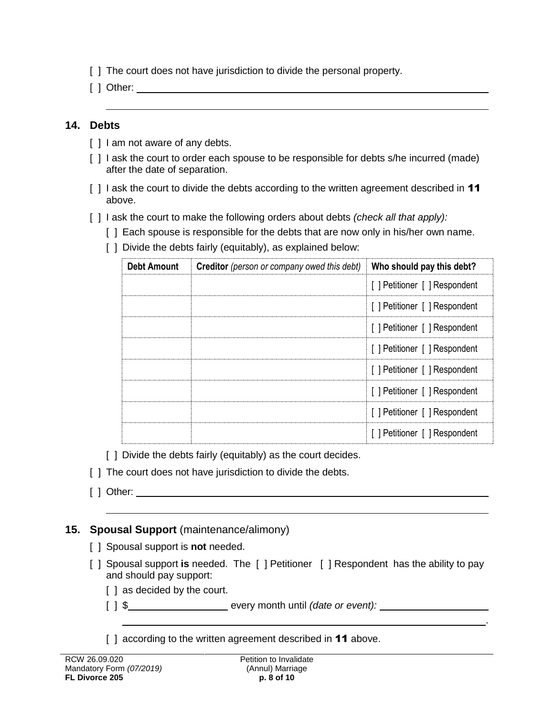- [ ] The court does not have jurisdiction to divide the personal property.
- [ ] Other:

#### **14. Debts**

- [ ] I am not aware of any debts.
- [] I ask the court to order each spouse to be responsible for debts s/he incurred (made) after the date of separation.
- [ ] I ask the court to divide the debts according to the written agreement described in **11** above.
- [ ] I ask the court to make the following orders about debts *(check all that apply):*
	- [ ] Each spouse is responsible for the debts that are now only in his/her own name.
	- [ ] Divide the debts fairly (equitably), as explained below:

| <b>Debt Amount</b> | <b>Creditor</b> (person or company owed this debt) | Who should pay this debt?     |
|--------------------|----------------------------------------------------|-------------------------------|
|                    |                                                    | [] Petitioner [] Respondent   |
|                    |                                                    | [ ] Petitioner [ ] Respondent |
|                    |                                                    | [ ] Petitioner [ ] Respondent |
|                    |                                                    | [] Petitioner [] Respondent   |
|                    |                                                    | [ ] Petitioner [ ] Respondent |
|                    |                                                    | [ ] Petitioner [ ] Respondent |
|                    |                                                    | [ ] Petitioner [ ] Respondent |
|                    |                                                    | [ ] Petitioner [ ] Respondent |

- [ ] Divide the debts fairly (equitably) as the court decides.
- [] The court does not have jurisdiction to divide the debts.
- [ ] Other:

## **15. Spousal Support** (maintenance/alimony)

- [ ] Spousal support is **not** needed.
- [ ] Spousal support **is** needed. The [ ] Petitioner [ ] Respondent has the ability to pay and should pay support:

.

- [ ] as decided by the court.
- [ ] \$ every month until *(date or event):*
- [ ] according to the written agreement described in **11** above.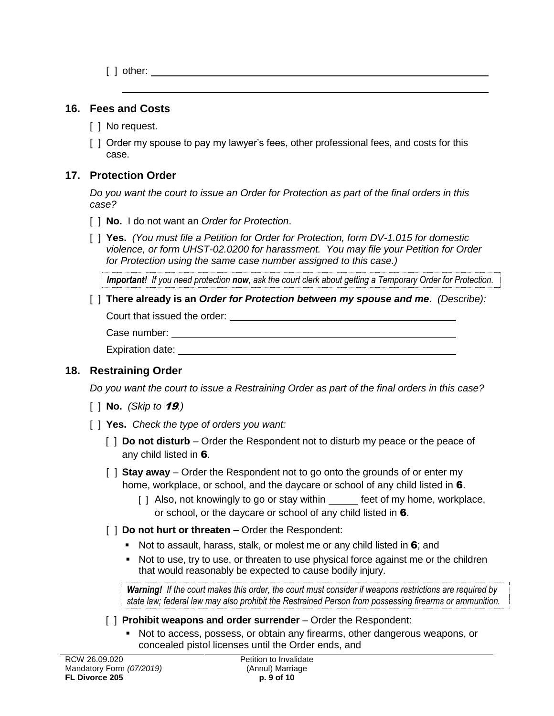[ ] other:

#### **16. Fees and Costs**

- [ ] No request.
- [ ] Order my spouse to pay my lawyer's fees, other professional fees, and costs for this case.

## **17. Protection Order**

*Do you want the court to issue an Order for Protection as part of the final orders in this case?*

- [ ] **No.**I do not want an *Order for Protection*.
- [ ] **Yes.** *(You must file a Petition for Order for Protection, form DV-1.015 for domestic violence, or form UHST-02.0200 for harassment. You may file your Petition for Order for Protection using the same case number assigned to this case.)*

*Important! If you need protection now, ask the court clerk about getting a Temporary Order for Protection.*

[ ] **There already is an** *Order for Protection between my spouse and me***.** *(Describe):* Court that issued the order:

```
Case number:
```
Expiration date:

## **18. Restraining Order**

*Do you want the court to issue a Restraining Order as part of the final orders in this case?* 

- [ ] **No.** *(Skip to* 19*.)*
- [ ] **Yes.** *Check the type of orders you want:*
	- [ ] **Do not disturb**  Order the Respondent not to disturb my peace or the peace of any child listed in 6.
	- [ ] **Stay away** Order the Respondent not to go onto the grounds of or enter my home, workplace, or school, and the daycare or school of any child listed in 6.
		- [ ] Also, not knowingly to go or stay within feet of my home, workplace, or school, or the daycare or school of any child listed in 6.
	- [ ] **Do not hurt or threaten**  Order the Respondent:
		- Not to assault, harass, stalk, or molest me or any child listed in  $6$ ; and
		- Not to use, try to use, or threaten to use physical force against me or the children that would reasonably be expected to cause bodily injury.

*Warning! If the court makes this order, the court must consider if weapons restrictions are required by state law; federal law may also prohibit the Restrained Person from possessing firearms or ammunition.* 

[  $\vert$  **Prohibit weapons and order surrender** – Order the Respondent:

 Not to access, possess, or obtain any firearms, other dangerous weapons, or concealed pistol licenses until the Order ends, and